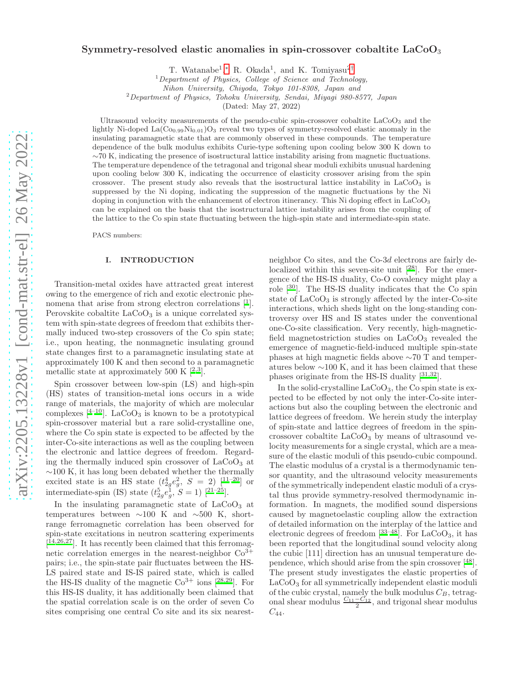# Symmetry-resolved elastic anomalies in spin-crossover cobaltite  $LaCoO<sub>3</sub>$

T. Watanabe<sup>1</sup>,\* R. Okada<sup>1</sup>, and K. Tomiyasu<sup>2[†](#page-5-1)</sup>

 $1$ Department of Physics, College of Science and Technology,

Nihon University, Chiyoda, Tokyo 101-8308, Japan and

 $2$ Department of Physics, Tohoku University, Sendai, Miyagi 980-8577, Japan

(Dated: May 27, 2022)

Ultrasound velocity measurements of the pseudo-cubic spin-crossover cobaltite LaCoO<sup>3</sup> and the lightly Ni-doped La $(C_{00.99}Ni_{0.01})O_3$  reveal two types of symmetry-resolved elastic anomaly in the insulating paramagnetic state that are commonly observed in these compounds. The temperature dependence of the bulk modulus exhibits Curie-type softening upon cooling below 300 K down to  $~\sim$ 70 K, indicating the presence of isostructural lattice instability arising from magnetic fluctuations. The temperature dependence of the tetragonal and trigonal shear moduli exhibits unusual hardening upon cooling below 300 K, indicating the occurrence of elasticity crossover arising from the spin crossover. The present study also reveals that the isostructural lattice instability in  $LaCoO<sub>3</sub>$  is suppressed by the Ni doping, indicating the suppression of the magnetic fluctuations by the Ni doping in conjunction with the enhancement of electron itinerancy. This Ni doping effect in LaCoO<sub>3</sub> can be explained on the basis that the isostructural lattice instability arises from the coupling of the lattice to the Co spin state fluctuating between the high-spin state and intermediate-spin state.

PACS numbers:

#### I. INTRODUCTION

Transition-metal oxides have attracted great interest owing to the emergence of rich and exotic electronic phenomena that arise from strong electron correlations  $[1]$ . Perovskite cobaltite  $LaCoO<sub>3</sub>$  is a unique correlated system with spin-state degrees of freedom that exhibits thermally induced two-step crossovers of the Co spin state; i.e., upon heating, the nonmagnetic insulating ground state changes first to a paramagnetic insulating state at approximately 100 K and then second to a paramagnetic metallic state at approximately 500 K  $[^{2,3}].$  $[^{2,3}].$  $[^{2,3}].$  $[^{2,3}].$ 

Spin crossover between low-spin (LS) and high-spin (HS) states of transition-metal ions occurs in a wide range of materials, the majority of which are molecular complexes  $[4^{-10}]$ . LaCoO<sub>3</sub> is known to be a prototypical spin-crossover material but a rare solid-crystalline one, where the Co spin state is expected to be affected by the inter-Co-site interactions as well as the coupling between the electronic and lattice degrees of freedom. Regarding the thermally induced spin crossover of  $LaCoO<sub>3</sub>$  at ∼100 K, it has long been debated whether the thermally excited state is an HS state  $(t_2^4e_g^2, S = 2)$  [[11](#page-5-7)-20] or intermediate-spin (IS) state  $(t_{2g}^5 e_g^1, S = 1)$  [<sup>[21](#page-5-9)[–25](#page-5-10)</sup>].

In the insulating paramagnetic state of  $LaCoO<sub>3</sub>$  at temperatures between  $\sim$ 100 K and  $\sim$ 500 K, shortrange ferromagnetic correlation has been observed for spin-state excitations in neutron scattering experiments [ [14](#page-5-11)[,26](#page-5-12)[,27](#page-5-13)]. It has recently been claimed that this ferromagnetic correlation emerges in the nearest-neighbor  $Co<sup>3+</sup>$ pairs; i.e., the spin-state pair fluctuates between the HS-LS paired state and IS-IS paired state, which is called the HS-IS duality of the magnetic  $Co^{3+}$  ions  $[28,29]$  $[28,29]$  $[28,29]$  $[28,29]$ . For this HS-IS duality, it has additionally been claimed that the spatial correlation scale is on the order of seven Co sites comprising one central Co site and its six nearest-

neighbor Co sites, and the Co-3d electrons are fairly delocalized within this seven-site unit  $[28]$  $[28]$  $[28]$ . For the emergence of the HS-IS duality, Co-O covalency might play a role  $[30]$  $[30]$  $[30]$ . The HS-IS duality indicates that the Co spin state of LaCoO<sub>3</sub> is strongly affected by the inter-Co-site interactions, which sheds light on the long-standing controversy over HS and IS states under the conventional one-Co-site classification. Very recently, high-magneticfield magnetostriction studies on  $LaCoO<sub>3</sub>$  revealed the emergence of magnetic-field-induced multiple spin-state phases at high magnetic fields above ∼70 T and temperatures below ∼100 K, and it has been claimed that these phases originate from the HS-IS duality  $[31,32]$  $[31,32]$  $[31,32]$  $[31,32]$ .

In the solid-crystalline  $LaCoO<sub>3</sub>$ , the Co spin state is expected to be effected by not only the inter-Co-site interactions but also the coupling between the electronic and lattice degrees of freedom. We herein study the interplay of spin-state and lattice degrees of freedom in the spincrossover cobaltite  $LaCoO<sub>3</sub>$  by means of ultrasound velocity measurements for a single crystal, which are a measure of the elastic moduli of this pseudo-cubic compound. The elastic modulus of a crystal is a thermodynamic tensor quantity, and the ultrasound velocity measurements of the symmetrically independent elastic moduli of a crystal thus provide symmetry-resolved thermodynamic information. In magnets, the modified sound dispersions caused by magnetoelastic coupling allow the extraction of detailed information on the interplay of the lattice and electronic degrees of freedom  $\begin{bmatrix} 33-48 \end{bmatrix}$  $\begin{bmatrix} 33-48 \end{bmatrix}$  $\begin{bmatrix} 33-48 \end{bmatrix}$ . For LaCoO<sub>3</sub>, it has been reported that the longitudinal sound velocity along the cubic [111] direction has an unusual temperature dependence, which should arise from the spin crossover [[48](#page-6-1)]. The present study investigates the elastic properties of LaCoO<sub>3</sub> for all symmetrically independent elastic moduli of the cubic crystal, namely the bulk modulus  $C_B$ , tetragonal shear modulus  $\frac{C_{11}-C_{12}}{2}$ , and trigonal shear modulus  $C_{44}.$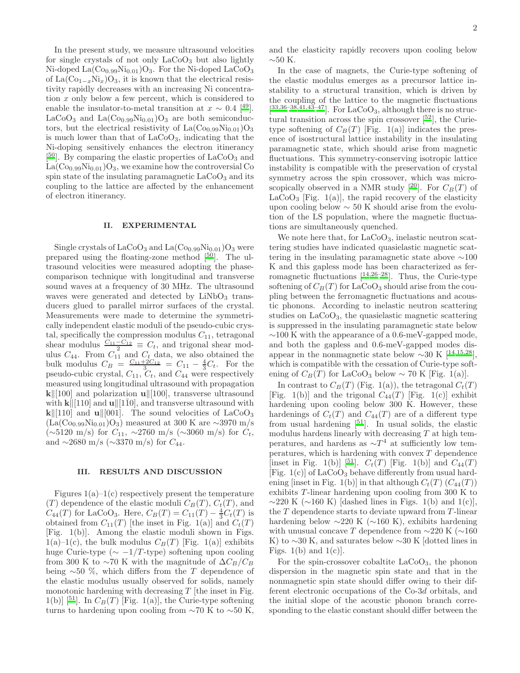In the present study, we measure ultrasound velocities for single crystals of not only  $LaCoO<sub>3</sub>$  but also lightly Ni-doped  $La(Co_{0.99}Ni_{0.01})O_3$ . For the Ni-doped  $LaCoO_3$ of La $(\text{Co}_{1-x}\text{Ni}_x)\text{O}_3$ , it is known that the electrical resistivity rapidly decreases with an increasing Ni concentration x only below a few percent, which is considered to enable the insulator-to-metal transition at  $x \sim 0.4$  [<sup>[49](#page-6-2)</sup>].  $LaCoO<sub>3</sub>$  and  $La(Co<sub>0.99</sub>Ni<sub>0.01</sub>)O<sub>3</sub>$  are both semiconductors, but the electrical resistivity of  $La(Co_{0.99}Ni_{0.01})O_3$ is much lower than that of  $LaCoO<sub>3</sub>$ , indicating that the Ni-doping sensitively enhances the electron itinerancy [<sup>[50](#page-6-3)</sup>]. By comparing the elastic properties of LaCoO<sub>3</sub> and  $La(Co_{0.99}Ni_{0.01})O_3$ , we examine how the controversial Co spin state of the insulating paramagnetic  $LaCoO<sub>3</sub>$  and its coupling to the lattice are affected by the enhancement of electron itinerancy.

#### II. EXPERIMENTAL

Single crystals of  $LaCoO<sub>3</sub>$  and  $La(Co<sub>0.99</sub>Ni<sub>0.01</sub>)O<sub>3</sub>$  were prepared using the floating-zone method [[50](#page-6-3)]. The ultrasound velocities were measured adopting the phasecomparison technique with longitudinal and transverse sound waves at a frequency of 30 MHz. The ultrasound waves were generated and detected by  $LiNbO<sub>3</sub>$  transducers glued to parallel mirror surfaces of the crystal. Measurements were made to determine the symmetrically independent elastic moduli of the pseudo-cubic crystal, specifically the compression modulus  $C_{11}$ , tetragonal shear modulus  $\frac{C_{11}-C_{12}}{2} \equiv C_t$ , and trigonal shear modulus  $C_{44}$ . From  $C_{11}$  and  $C_t$  data, we also obtained the bulk modulus  $C_B = \frac{C_{11} + 2C_{12}}{3} = C_{11} - \frac{4}{3}C_t$ . For the pseudo-cubic crystal,  $C_{11}$ ,  $C_t$ , and  $C_{44}$  were respectively measured using longitudinal ultrasound with propagation  $\bf{k}$ ||[100] and polarization **u**||[100], transverse ultrasound with  $\bf{k}$ ||[110] and  $\bf{u}$ ||[110], and transverse ultrasound with  $k\|110\|$  and **u** $\|001\|$ . The sound velocities of LaCoO<sub>3</sub>  $(La(Co_{0.99}Ni_{0.01})O_3)$  measured at 300 K are ∼3970 m/s (∼5120 m/s) for  $C_{11}$ , ∼2760 m/s (∼3060 m/s) for  $C_t$ , and  $\sim$ 2680 m/s ( $\sim$ 3370 m/s) for  $C_{44}$ .

# III. RESULTS AND DISCUSSION

Figures  $1(a)-1(c)$  respectively present the temperature  $(T)$  dependence of the elastic moduli  $C_B(T)$ ,  $C_t(T)$ , and  $C_{44}(T)$  for LaCoO<sub>3</sub>. Here,  $C_B(T) = C_{11}(T) - \frac{4}{3}C_t(T)$  is obtained from  $C_{11}(T)$  [the inset in Fig. 1(a)] and  $C_t(T)$ [Fig. 1(b)]. Among the elastic moduli shown in Figs.  $1(a)-1(c)$ , the bulk modulus  $C_B(T)$  [Fig. 1(a)] exhibits huge Curie-type ( $\sim -1/T$ -type) softening upon cooling from 300 K to ~70 K with the magnitude of  $\Delta C_B/C_B$ being  $~50~\%$ , which differs from the T dependence of the elastic modulus usually observed for solids, namely monotonic hardening with decreasing  $T$  [the inset in Fig. 1(b)] [<sup>[51](#page-6-4)</sup>]. In  $C_B(T)$  [Fig. 1(a)], the Curie-type softening turns to hardening upon cooling from  $\sim$ 70 K to  $\sim$ 50 K, and the elasticity rapidly recovers upon cooling below  $\sim$ 50 K.

In the case of magnets, the Curie-type softening of the elastic modulus emerges as a precursor lattice instability to a structural transition, which is driven by the coupling of the lattice to the magnetic fluctuations  $[33,36-38,41,43-47]$  $[33,36-38,41,43-47]$  $[33,36-38,41,43-47]$  $[33,36-38,41,43-47]$  $[33,36-38,41,43-47]$  $[33,36-38,41,43-47]$  $[33,36-38,41,43-47]$ . For LaCoO<sub>3</sub>, although there is no structural transition across the spin crossover  $[52]$  $[52]$  $[52]$ , the Curietype softening of  $C_B(T)$  [Fig. 1(a)] indicates the presence of isostructural lattice instability in the insulating paramagnetic state, which should arise from magnetic fluctuations. This symmetry-conserving isotropic lattice instability is compatible with the preservation of crystal symmetry across the spin crossover, which was micro-scopically observed in a NMR study [<sup>[20](#page-5-8)</sup>]. For  $C_B(T)$  of  $LaCoO<sub>3</sub>$  [Fig. 1(a)], the rapid recovery of the elasticity upon cooling below  $\sim$  50 K should arise from the evolution of the LS population, where the magnetic fluctuations are simultaneously quenched.

We note here that, for  $LaCoO<sub>3</sub>$ , inelastic neutron scattering studies have indicated quasielastic magnetic scattering in the insulating paramagnetic state above ∼100 K and this gapless mode has been characterized as ferromagnetic fluctuations  $[14,26-28]$  $[14,26-28]$  $[14,26-28]$  $[14,26-28]$ . Thus, the Curie-type softening of  $C_B(T)$  for LaCoO<sub>3</sub> should arise from the coupling between the ferromagnetic fluctuations and acoustic phonons. According to inelastic neutron scattering studies on  $LaCoO<sub>3</sub>$ , the quasielastic magnetic scattering is suppressed in the insulating paramagnetic state below ∼100 K with the appearance of a 0.6-meV-gapped mode, and both the gapless and 0.6-meV-gapped modes disappear in the nonmagnetic state below  $\sim$ 30 K [<sup>[14](#page-5-11)[,15](#page-5-19)[,28](#page-5-14)</sup>], which is compatible with the cessation of Curie-type softening of  $C_B(T)$  for LaCoO<sub>3</sub> below ~ 70 K [Fig. 1(a)].

In contrast to  $C_B(T)$  (Fig. 1(a)), the tetragonal  $C_t(T)$ [Fig. 1(b)] and the trigonal  $C_{44}(T)$  [Fig. 1(c)] exhibit hardening upon cooling below 300 K. However, these hardenings of  $C_t(T)$  and  $C_{44}(T)$  are of a different type from usual hardening  $[51]$ . In usual solids, the elastic modulus hardens linearly with decreasing  $T$  at high temperatures, and hardens as  $\sim T^4$  at sufficiently low temperatures, which is hardening with convex  $T$  dependence [inset in Fig. 1(b)] [[51](#page-6-4)].  $C_t(T)$  [Fig. 1(b)] and  $C_{44}(T)$ [Fig.  $1(c)$ ] of LaCoO<sub>3</sub> behave differently from usual hardening [inset in Fig. 1(b)] in that although  $C_t(T)$   $(C_{44}(T))$ exhibits T-linear hardening upon cooling from 300 K to  $\sim$ 220 K ( $\sim$ 160 K) [dashed lines in Figs. 1(b) and 1(c)], the  $T$  dependence starts to deviate upward from  $T$ -linear hardening below ∼220 K (∼160 K), exhibits hardening with unusual concave T dependence from  $\sim$ 220 K ( $\sim$ 160 K) to  $\sim$ 30 K, and saturates below  $\sim$ 30 K [dotted lines in Figs.  $1(b)$  and  $1(c)$ .

For the spin-crossover cobaltite  $LaCoO<sub>3</sub>$ , the phonon dispersion in the magnetic spin state and that in the nonmagnetic spin state should differ owing to their different electronic occupations of the Co-3d orbitals, and the initial slope of the acoustic phonon branch corresponding to the elastic constant should differ between the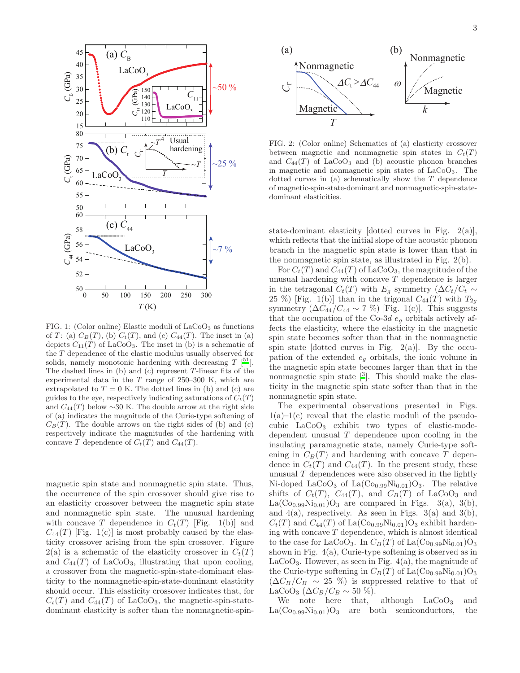

FIG. 1: (Color online) Elastic moduli of  $LaCoO<sub>3</sub>$  as functions of T: (a)  $C_B(T)$ , (b)  $C_t(T)$ , and (c)  $C_{44}(T)$ . The inset in (a) depicts  $C_{11}(T)$  of LaCoO<sub>3</sub>. The inset in (b) is a schematic of the T dependence of the elastic modulus usually observed for solids, namely monotonic hardening with decreasing  $T$  [\[](#page-6-4)<sup>51</sup>]. The dashed lines in  $(b)$  and  $(c)$  represent T-linear fits of the experimental data in the  $T$  range of 250–300 K, which are extrapolated to  $T = 0$  K. The dotted lines in (b) and (c) are guides to the eye, respectively indicating saturations of  $C_t(T)$ and  $C_{44}(T)$  below ~30 K. The double arrow at the right side of (a) indicates the magnitude of the Curie-type softening of  $C_B(T)$ . The double arrows on the right sides of (b) and (c) respectively indicate the magnitudes of the hardening with concave T dependence of  $C_t(T)$  and  $C_{44}(T)$ .

magnetic spin state and nonmagnetic spin state. Thus, the occurrence of the spin crossover should give rise to an elasticity crossover between the magnetic spin state and nonmagnetic spin state. The unusual hardening with concave T dependence in  $C_t(T)$  [Fig. 1(b)] and  $C_{44}(T)$  [Fig. 1(c)] is most probably caused by the elasticity crossover arising from the spin crossover. Figure  $2(a)$  is a schematic of the elasticity crossover in  $C_t(T)$ and  $C_{44}(T)$  of LaCoO<sub>3</sub>, illustrating that upon cooling, a crossover from the magnetic-spin-state-dominant elasticity to the nonmagnetic-spin-state-dominant elasticity should occur. This elasticity crossover indicates that, for  $C_t(T)$  and  $C_{44}(T)$  of LaCoO<sub>3</sub>, the magnetic-spin-statedominant elasticity is softer than the nonmagnetic-spin-



FIG. 2: (Color online) Schematics of (a) elasticity crossover between magnetic and nonmagnetic spin states in  $C_t(T)$ and  $C_{44}(T)$  of LaCoO<sub>3</sub> and (b) acoustic phonon branches in magnetic and nonmagnetic spin states of  $LaCoO<sub>3</sub>$ . The dotted curves in (a) schematically show the T dependence of magnetic-spin-state-dominant and nonmagnetic-spin-statedominant elasticities.

state-dominant elasticity [dotted curves in Fig. 2(a)], which reflects that the initial slope of the acoustic phonon branch in the magnetic spin state is lower than that in the nonmagnetic spin state, as illustrated in Fig. 2(b).

For  $C_t(T)$  and  $C_{44}(T)$  of LaCoO<sub>3</sub>, the magnitude of the unusual hardening with concave  $T$  dependence is larger in the tetragonal  $C_t(T)$  with  $E_g$  symmetry ( $\Delta C_t/C_t \sim$ 25 %) [Fig. 1(b)] than in the trigonal  $C_{44}(T)$  with  $T_{2g}$ symmetry  $(\Delta C_{44}/C_{44} \sim 7\%)$  [Fig. 1(c)]. This suggests that the occupation of the Co-3d  $e<sub>g</sub>$  orbitals actively affects the elasticity, where the elasticity in the magnetic spin state becomes softer than that in the nonmagnetic spin state [dotted curves in Fig.  $2(a)$ ]. By the occupation of the extended  $e_g$  orbitals, the ionic volume in the magnetic spin state becomes larger than that in the nonmagnetic spin state  $[3]$ . This should make the elasticity in the magnetic spin state softer than that in the nonmagnetic spin state.

The experimental observations presented in Figs.  $1(a)-1(c)$  reveal that the elastic moduli of the pseudocubic LaCoO<sup>3</sup> exhibit two types of elastic-modedependent unusual  $T$  dependence upon cooling in the insulating paramagnetic state, namely Curie-type softening in  $C_B(T)$  and hardening with concave T dependence in  $C_t(T)$  and  $C_{44}(T)$ . In the present study, these unusual  $T$  dependences were also observed in the lightly Ni-doped LaCoO<sub>3</sub> of La $(\text{Co}_{0.99}\text{Ni}_{0.01})\text{O}_3$ . The relative shifts of  $C_t(T)$ ,  $C_{44}(T)$ , and  $C_B(T)$  of LaCoO<sub>3</sub> and  $La(Co_{0.99}Ni_{0.01})O_3$  are compared in Figs. 3(a), 3(b), and  $4(a)$ , respectively. As seen in Figs.  $3(a)$  and  $3(b)$ ,  $C_t(T)$  and  $C_{44}(T)$  of La(Co<sub>0.99</sub>Ni<sub>0.01</sub>)O<sub>3</sub> exhibit hardening with concave  $T$  dependence, which is almost identical to the case for LaCoO<sub>3</sub>. In  $C_B(T)$  of La(Co<sub>0.99</sub>Ni<sub>0.01</sub>)O<sub>3</sub> shown in Fig. 4(a), Curie-type softening is observed as in LaCoO<sub>3</sub>. However, as seen in Fig.  $4(a)$ , the magnitude of the Curie-type softening in  $C_B(T)$  of La(Co<sub>0.99</sub>Ni<sub>0.01</sub>)O<sub>3</sub>  $(\Delta C_B/C_B \sim 25 \%)$  is suppressed relative to that of LaCoO<sub>3</sub> ( $\Delta C_B/C_B \sim 50\%$ ).

We note here that, although  $LaCoO<sub>3</sub>$  and  $La(Co_{0.99}Ni_{0.01})O_3$  are both semiconductors, the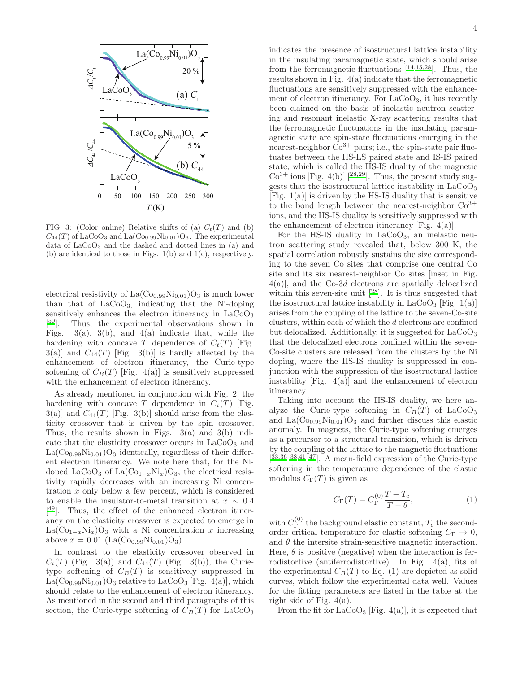

FIG. 3: (Color online) Relative shifts of (a)  $C_t(T)$  and (b)  $C_{44}(T)$  of LaCoO<sub>3</sub> and La(Co<sub>0.99</sub>Ni<sub>0.01</sub>)O<sub>3</sub>. The experimental data of  $LaCoO<sub>3</sub>$  and the dashed and dotted lines in (a) and (b) are identical to those in Figs. 1(b) and 1(c), respectively.

electrical resistivity of  $La(Co_{0.99}Ni_{0.01})O_3$  is much lower than that of LaCoO3, indicating that the Ni-doping sensitively enhances the electron itinerancy in  $LaCoO<sub>3</sub>$  $\lbrack^{50} \rbrack.$ Thus, the experimental observations shown in Figs.  $3(a)$ ,  $3(b)$ , and  $4(a)$  indicate that, while the hardening with concave T dependence of  $C_t(T)$  [Fig.  $3(a)$ ] and  $C_{44}(T)$  [Fig. 3(b)] is hardly affected by the enhancement of electron itinerancy, the Curie-type softening of  $C_B(T)$  [Fig. 4(a)] is sensitively suppressed with the enhancement of electron itinerancy.

As already mentioned in conjunction with Fig. 2, the hardening with concave T dependence in  $C_t(T)$  [Fig.  $3(a)$ ] and  $C_{44}(T)$  [Fig. 3(b)] should arise from the elasticity crossover that is driven by the spin crossover. Thus, the results shown in Figs.  $3(a)$  and  $3(b)$  indicate that the elasticity crossover occurs in  $LaCoO<sub>3</sub>$  and  $La(Co_{0.99}Ni_{0.01})O_3$  identically, regardless of their different electron itinerancy. We note here that, for the Nidoped LaCoO<sub>3</sub> of La $\text{Co}_{1-x}\text{Ni}_x$ )O<sub>3</sub>, the electrical resistivity rapidly decreases with an increasing Ni concentration  $x$  only below a few percent, which is considered to enable the insulator-to-metal transition at  $x \sim 0.4$ [ [49](#page-6-2)]. Thus, the effect of the enhanced electron itinerancy on the elasticity crossover is expected to emerge in  $La(Co_{1-x}Ni_x)O_3$  with a Ni concentration x increasing above  $x = 0.01$  (La(Co<sub>0.99</sub>Ni<sub>0.01</sub>)O<sub>3</sub>).

In contrast to the elasticity crossover observed in  $C_t(T)$  (Fig. 3(a)) and  $C_{44}(T)$  (Fig. 3(b)), the Curietype softening of  $C_B(T)$  is sensitively suppressed in  $La(Co_{0.99}Ni_{0.01})O_3$  relative to  $LaCoO_3$  [Fig. 4(a)], which should relate to the enhancement of electron itinerancy. As mentioned in the second and third paragraphs of this section, the Curie-type softening of  $C_B(T)$  for LaCoO<sub>3</sub>

indicates the presence of isostructural lattice instability in the insulating paramagnetic state, which should arise from the ferromagnetic fluctuations  $[14,15,28]$  $[14,15,28]$  $[14,15,28]$  $[14,15,28]$  $[14,15,28]$ . Thus, the results shown in Fig. 4(a) indicate that the ferromagnetic fluctuations are sensitively suppressed with the enhancement of electron itinerancy. For  $LaCoO<sub>3</sub>$ , it has recently been claimed on the basis of inelastic neutron scattering and resonant inelastic X-ray scattering results that the ferromagnetic fluctuations in the insulating paramagnetic state are spin-state fluctuations emerging in the nearest-neighbor  $Co^{3+}$  pairs; i.e., the spin-state pair fluctuates between the HS-LS paired state and IS-IS paired state, which is called the HS-IS duality of the magnetic  $Co^{3+}$  ions [Fig. 4(b)] [<sup>[28](#page-5-14)[,29](#page-5-15)</sup>]. Thus, the present study suggests that the isostructural lattice instability in  $LaCoO<sub>3</sub>$ [Fig.  $1(a)$ ] is driven by the HS-IS duality that is sensitive to the bond length between the nearest-neighbor  $Co<sup>3+</sup>$ ions, and the HS-IS duality is sensitively suppressed with the enhancement of electron itinerancy [Fig.  $4(a)$ ].

For the HS-IS duality in  $LaCoO<sub>3</sub>$ , an inelastic neutron scattering study revealed that, below 300 K, the spatial correlation robustly sustains the size corresponding to the seven Co sites that comprise one central Co site and its six nearest-neighbor Co sites [inset in Fig. 4(a)], and the Co-3d electrons are spatially delocalized within this seven-site unit  $[28]$  $[28]$  $[28]$ . It is thus suggested that the isostructural lattice instability in  $LaCoO<sub>3</sub>$  [Fig. 1(a)] arises from the coupling of the lattice to the seven-Co-site clusters, within each of which the d electrons are confined but delocalized. Additionally, it is suggested for LaCoO<sup>3</sup> that the delocalized electrons confined within the seven-Co-site clusters are released from the clusters by the Ni doping, where the HS-IS duality is suppressed in conjunction with the suppression of the isostructural lattice instability [Fig.  $4(a)$ ] and the enhancement of electron itinerancy.

Taking into account the HS-IS duality, we here analyze the Curie-type softening in  $C_B(T)$  of LaCoO<sub>3</sub> and  $La(Co_{0.99}Ni_{0.01})O_3$  and further discuss this elastic anomaly. In magnets, the Curie-type softening emerges as a precursor to a structural transition, which is driven by the coupling of the lattice to the magnetic fluctuations  $[33,36-38,41-47]$  $[33,36-38,41-47]$  $[33,36-38,41-47]$  $[33,36-38,41-47]$  $[33,36-38,41-47]$  $[33,36-38,41-47]$ . A mean-field expression of the Curie-type softening in the temperature dependence of the elastic modulus  $C_{\Gamma}(T)$  is given as

$$
C_{\Gamma}(T) = C_{\Gamma}^{(0)} \frac{T - T_c}{T - \theta},
$$
\n(1)

with  $C_{\Gamma}^{(0)}$  $T_{\Gamma}^{(0)}$  the background elastic constant,  $T_c$  the secondorder critical temperature for elastic softening  $C_{\Gamma} \rightarrow 0$ , and  $\theta$  the intersite strain-sensitive magnetic interaction. Here,  $\theta$  is positive (negative) when the interaction is ferrodistortive (antiferrodistortive). In Fig. 4(a), fits of the experimental  $C_B(T)$  to Eq. (1) are depicted as solid curves, which follow the experimental data well. Values for the fitting parameters are listed in the table at the right side of Fig. 4(a).

From the fit for  $LaCoO<sub>3</sub>$  [Fig. 4(a)], it is expected that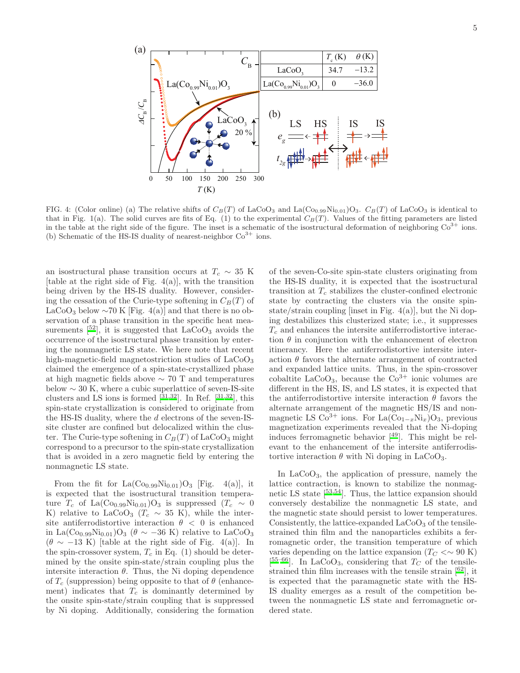

FIG. 4: (Color online) (a) The relative shifts of  $C_B(T)$  of LaCoO<sub>3</sub> and La(Co<sub>0.99</sub>Ni<sub>0.01</sub>)O<sub>3</sub>.  $C_B(T)$  of LaCoO<sub>3</sub> is identical to that in Fig. 1(a). The solid curves are fits of Eq. (1) to the experimental  $C_B(T)$ . Values of the fitting parameters are listed in the table at the right side of the figure. The inset is a schematic of the isostructural deformation of neighboring  $Co<sup>3+</sup>$  ions. (b) Schematic of the HS-IS duality of nearest-neighbor  $Co<sup>3+</sup>$  ions.

an isostructural phase transition occurs at  $T_c \sim 35$  K [table at the right side of Fig.  $4(a)$ ], with the transition being driven by the HS-IS duality. However, considering the cessation of the Curie-type softening in  $C_B(T)$  of LaCoO<sub>3</sub> below  $\sim$ 70 K [Fig. 4(a)] and that there is no observation of a phase transition in the specific heat measurements  $[52]$  $[52]$  $[52]$ , it is suggested that  $LaCoO<sub>3</sub>$  avoids the occurrence of the isostructural phase transition by entering the nonmagnetic LS state. We here note that recent high-magnetic-field magnetostriction studies of  $LaCoO<sub>3</sub>$ claimed the emergence of a spin-state-crystallized phase at high magnetic fields above ∼ 70 T and temperatures below  $\sim 30$  K, where a cubic superlattice of seven-IS-site clusters and LS ions is formed  $\left[\begin{array}{c}31,32\end{array}\right]$  $\left[\begin{array}{c}31,32\end{array}\right]$  $\left[\begin{array}{c}31,32\end{array}\right]$  $\left[\begin{array}{c}31,32\end{array}\right]$ . In Ref.  $\left[\begin{array}{c}31,32\end{array}\right]$ , this spin-state crystallization is considered to originate from the HS-IS duality, where the d electrons of the seven-ISsite cluster are confined but delocalized within the cluster. The Curie-type softening in  $C_B(T)$  of LaCoO<sub>3</sub> might correspond to a precursor to the spin-state crystallization that is avoided in a zero magnetic field by entering the nonmagnetic LS state.

From the fit for  $La(Co_{0.99}Ni_{0.01})O_3$  [Fig. 4(a)], it is expected that the isostructural transition temperature  $T_c$  of La(Co<sub>0.99</sub>Ni<sub>0.01</sub>)O<sub>3</sub> is suppressed ( $T_c \sim 0$ K) relative to LaCoO<sub>3</sub> ( $T_c \sim 35$  K), while the intersite antiferrodistortive interaction  $\theta \, < \, 0$  is enhanced in La(Co<sub>0.99</sub>Ni<sub>0.01</sub>)O<sub>3</sub> ( $\theta \sim -36$  K) relative to LaCoO<sub>3</sub>  $(\theta \sim -13 \text{ K})$  [table at the right side of Fig. 4(a)]. In the spin-crossover system,  $T_c$  in Eq. (1) should be determined by the onsite spin-state/strain coupling plus the intersite interaction  $\theta$ . Thus, the Ni doping dependence of  $T_c$  (suppression) being opposite to that of  $\theta$  (enhancement) indicates that  $T_c$  is dominantly determined by the onsite spin-state/strain coupling that is suppressed by Ni doping. Additionally, considering the formation

of the seven-Co-site spin-state clusters originating from the HS-IS duality, it is expected that the isostructural transition at  $T_c$  stabilizes the cluster-confined electronic state by contracting the clusters via the onsite spinstate/strain coupling [inset in Fig. 4(a)], but the Ni doping destabilizes this clusterized state; i.e., it suppresses  $T_c$  and enhances the intersite antiferrodistortive interaction  $\theta$  in conjunction with the enhancement of electron itinerancy. Here the antiferrodistortive intersite interaction  $\theta$  favors the alternate arrangement of contracted and expanded lattice units. Thus, in the spin-crossover cobaltite  $LaCoO<sub>3</sub>$ , because the  $Co<sup>3+</sup>$  ionic volumes are different in the HS, IS, and LS states, it is expected that the antiferrodistortive intersite interaction  $\theta$  favors the alternate arrangement of the magnetic HS/IS and nonmagnetic LS Co<sup>3+</sup> ions. For La(Co<sub>1−x</sub>Ni<sub>x</sub>)O<sub>3</sub>, previous magnetization experiments revealed that the Ni-doping induces ferromagnetic behavior [[49](#page-6-2)]. This might be relevant to the enhancement of the intersite antiferrodistortive interaction  $\theta$  with Ni doping in LaCoO<sub>3</sub>.

In  $LaCoO<sub>3</sub>$ , the application of pressure, namely the lattice contraction, is known to stabilize the nonmagnetic LS state  $[53,54]$  $[53,54]$  $[53,54]$  $[53,54]$ . Thus, the lattice expansion should conversely destabilize the nonmagnetic LS state, and the magnetic state should persist to lower temperatures. Consistently, the lattice-expanded  $LaCoO<sub>3</sub>$  of the tensilestrained thin film and the nanoparticles exhibits a ferromagnetic order, the transition temperature of which varies depending on the lattice expansion ( $T_C < \sim 90 \text{ K}$ ) [ $55-66$  $55-66$ ]. In LaCoO<sub>3</sub>, considering that  $T_C$  of the tensilestrained thin film increases with the tensile strain  $[62]$  $[62]$  $[62]$ , it is expected that the paramagnetic state with the HS-IS duality emerges as a result of the competition between the nonmagnetic LS state and ferromagnetic ordered state.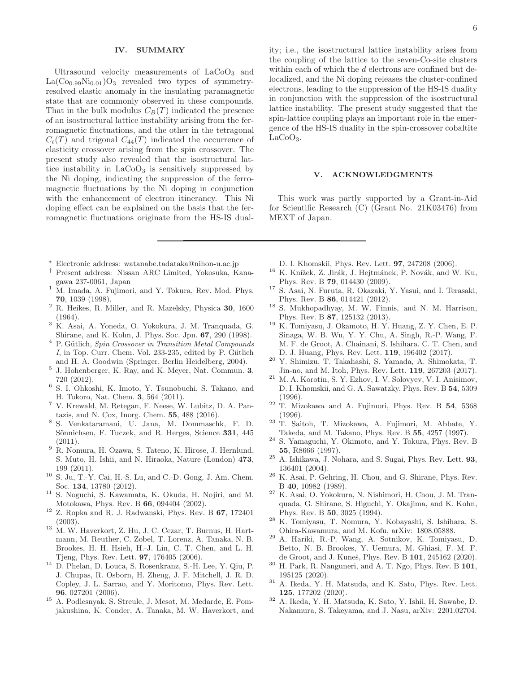# IV. SUMMARY

Ultrasound velocity measurements of  $LaCoO<sub>3</sub>$  and  $La(Co_{0.99}Ni_{0.01})O_3$  revealed two types of symmetryresolved elastic anomaly in the insulating paramagnetic state that are commonly observed in these compounds. That in the bulk modulus  $C_B(T)$  indicated the presence of an isostructural lattice instability arising from the ferromagnetic fluctuations, and the other in the tetragonal  $C_t(T)$  and trigonal  $C_{44}(T)$  indicated the occurrence of elasticity crossover arising from the spin crossover. The present study also revealed that the isostructural lattice instability in  $LaCoO<sub>3</sub>$  is sensitively suppressed by the Ni doping, indicating the suppression of the ferromagnetic fluctuations by the Ni doping in conjunction with the enhancement of electron itinerancy. This Ni doping effect can be explained on the basis that the ferromagnetic fluctuations originate from the HS-IS dual-

- <sup>∗</sup> Electronic address: watanabe.tadataka@nihon-u.ac.jp
- <span id="page-5-1"></span><span id="page-5-0"></span>† Present address: Nissan ARC Limited, Yokosuka, Kanagawa 237-0061, Japan
- <span id="page-5-2"></span><sup>1</sup> M. Imada, A. Fujimori, and Y. Tokura, Rev. Mod. Phys. 70, 1039 (1998).
- <span id="page-5-3"></span> $^2$  R. Heikes, R. Miller, and R. Mazelsky, Physica $\bf 30,\,1600$ (1964).
- <span id="page-5-4"></span><sup>3</sup> K. Asai, A. Yoneda, O. Yokokura, J. M. Tranquada, G. Shirane, and K. Kohn, J. Phys. Soc. Jpn. 67, 290 (1998).
- <span id="page-5-5"></span> $4$  P. Gütlich, Spin Crossover in Transition Metal Compounds  $I$ , in Top. Curr. Chem. Vol. 233-235, edited by P. Gütlich and H. A. Goodwin (Springer, Berlin Heidelberg, 2004).
- 5 J. Hohenberger, K. Ray, and K. Meyer, Nat. Commun. 3, 720 (2012).
- 6 S. I. Ohkoshi, K. Imoto, Y. Tsunobuchi, S. Takano, and H. Tokoro, Nat. Chem. 3, 564 (2011).
- <sup>7</sup> V. Krewald, M. Retegan, F. Neese, W. Lubitz, D. A. Pantazis, and N. Cox, Inorg. Chem. 55, 488 (2016).
- 8 S. Venkataramani, U. Jana, M. Dommaschk, F. D. Sönnichsen, F. Tuczek, and R. Herges, Science 331, 445  $(2011)$ .
- <sup>9</sup> R. Nomura, H. Ozawa, S. Tateno, K. Hirose, J. Hernlund, S. Muto, H. Ishii, and N. Hiraoka, Nature (London) 473, 199 (2011).
- <span id="page-5-6"></span><sup>10</sup> S. Ju, T.-Y. Cai, H.-S. Lu, and C.-D. Gong, J. Am. Chem. Soc. 134, 13780 (2012).
- <span id="page-5-7"></span><sup>11</sup> S. Noguchi, S. Kawamata, K. Okuda, H. Nojiri, and M. Motokawa, Phys. Rev. B 66, 094404 (2002).
- $12$  Z. Ropka and R. J. Radwanski, Phys. Rev. B 67, 172401 (2003).
- <sup>13</sup> M. W. Haverkort, Z. Hu, J. C. Cezar, T. Burnus, H. Hartmann, M. Reuther, C. Zobel, T. Lorenz, A. Tanaka, N. B. Brookes, H. H. Hsieh, H.-J. Lin, C. T. Chen, and L. H. Tjeng, Phys. Rev. Lett. 97, 176405 (2006).
- <span id="page-5-11"></span><sup>14</sup> D. Phelan, D. Louca, S. Rosenkranz, S.-H. Lee, Y. Qiu, P. J. Chupas, R. Osborn, H. Zheng, J. F. Mitchell, J. R. D. Copley, J. L. Sarrao, and Y. Moritomo, Phys. Rev. Lett. 96, 027201 (2006).
- <span id="page-5-19"></span><sup>15</sup> A. Podlesnyak, S. Streule, J. Mesot, M. Medarde, E. Pomjakushina, K. Conder, A. Tanaka, M. W. Haverkort, and

ity; i.e., the isostructural lattice instability arises from the coupling of the lattice to the seven-Co-site clusters within each of which the d electrons are confined but delocalized, and the Ni doping releases the cluster-confined electrons, leading to the suppression of the HS-IS duality in conjunction with the suppression of the isostructural lattice instability. The present study suggested that the spin-lattice coupling plays an important role in the emergence of the HS-IS duality in the spin-crossover cobaltite  $LaCoO<sub>3</sub>$ .

### V. ACKNOWLEDGMENTS

This work was partly supported by a Grant-in-Aid for Scientific Research (C) (Grant No. 21K03476) from MEXT of Japan.

- D. I. Khomskii, Phys. Rev. Lett. 97, 247208 (2006).
- $^{16}$  K. Knížek, Z. Jirák, J. Hejtmánek, P. Novák, and W. Ku, Phys. Rev. B 79, 014430 (2009).
- <sup>17</sup> S. Asai, N. Furuta, R. Okazaki, Y. Yasui, and I. Terasaki, Phys. Rev. B 86, 014421 (2012).
- <sup>18</sup> S. Mukhopadhyay, M. W. Finnis, and N. M. Harrison, Phys. Rev. B 87, 125132 (2013).
- <sup>19</sup> K. Tomiyasu, J. Okamoto, H. Y. Huang, Z. Y. Chen, E. P. Sinaga, W. B. Wu, Y. Y. Chu, A. Singh, R.-P. Wang, F. M. F. de Groot, A. Chainani, S. Ishihara. C. T. Chen, and D. J. Huang, Phys. Rev. Lett. 119, 196402 (2017).
- <span id="page-5-8"></span><sup>20</sup> Y. Shimizu, T. Takahashi, S. Yamada, A. Shimokata, T. Jin-no, and M. Itoh, Phys. Rev. Lett. 119, 267203 (2017).
- <span id="page-5-9"></span><sup>21</sup> M. A. Korotin, S. Y. Ezhov, I. V. Solovyev, V. I. Anisimov, D. I. Khomskii, and G. A. Sawatzky, Phys. Rev. B 54, 5309 (1996).
- <sup>22</sup> T. Mizokawa and A. Fujimori, Phys. Rev. B 54, 5368 (1996).
- <sup>23</sup> T. Saitoh, T. Mizokawa, A. Fujimori, M. Abbate, Y. Takeda, and M. Takano, Phys. Rev. B 55, 4257 (1997).
- <sup>24</sup> S. Yamaguchi, Y. Okimoto, and Y. Tokura, Phys. Rev. B 55, R8666 (1997).
- <span id="page-5-10"></span> $25$  A. Ishikawa, J. Nohara, and S. Sugai, Phys. Rev. Lett. 93, 136401 (2004).
- <span id="page-5-12"></span><sup>26</sup> K. Asai, P. Gehring, H. Chou, and G. Shirane, Phys. Rev. B 40, 10982 (1989).
- <span id="page-5-13"></span><sup>27</sup> K. Asai, O. Yokokura, N. Nishimori, H. Chou, J. M. Tranquada, G. Shirane, S. Higuchi, Y. Okajima, and K. Kohn, Phys. Rev. B 50, 3025 (1994).
- <span id="page-5-14"></span><sup>28</sup> K. Tomiyasu, T. Nomura, Y. Kobayashi, S. Ishihara, S. Ohira-Kawamura, and M. Kofu, arXiv: 1808.05888.
- <span id="page-5-15"></span><sup>29</sup> A. Hariki, R.-P. Wang, A. Sotnikov, K. Tomiyasu, D. Betto, N. B. Brookes, Y. Uemura, M. Ghiasi, F. M. F. de Groot, and J. Kuneš, Phys. Rev. B 101, 245162 (2020).
- <span id="page-5-16"></span> $30$  H. Park, R. Nanguneri, and A. T. Ngo, Phys. Rev. B  $101$ , 195125 (2020).
- <span id="page-5-17"></span><sup>31</sup> A. Ikeda, Y. H. Matsuda, and K. Sato, Phys. Rev. Lett. 125, 177202 (2020).
- <span id="page-5-18"></span><sup>32</sup> A. Ikeda, Y. H. Matsuda, K. Sato, Y. Ishii, H. Sawabe, D. Nakamura, S. Takeyama, and J. Nasu, arXiv: 2201.02704.